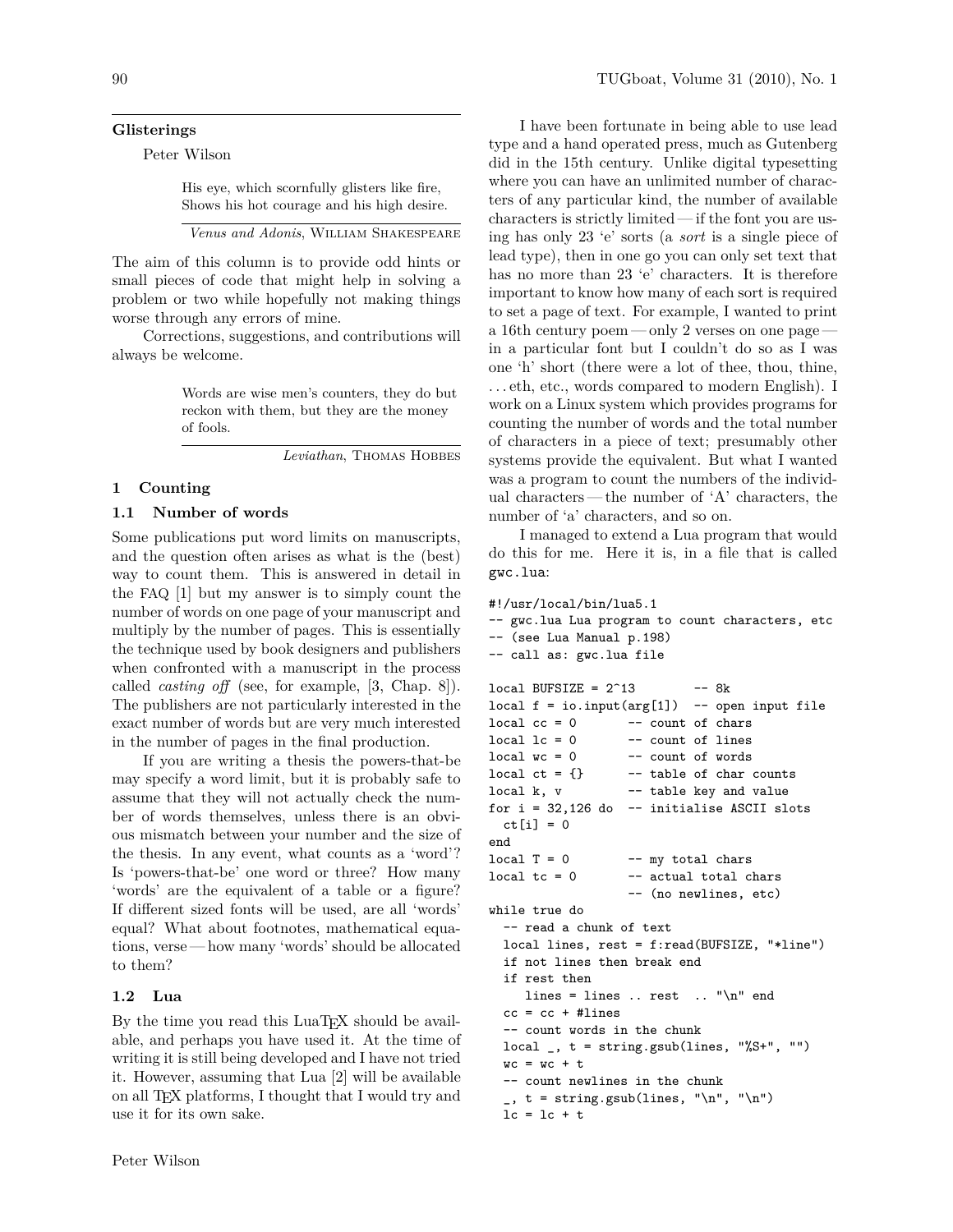#### **Glisterings**

Peter Wilson

His eye, which scornfully glisters like fire, Shows his hot courage and his high desire.

*Venus and Adonis*, William Shakespeare

The aim of this column is to provide odd hints or small pieces of code that might help in solving a problem or two while hopefully not making things worse through any errors of mine.

Corrections, suggestions, and contributions will always be welcome.

> Words are wise men's counters, they do but reckon with them, but they are the money of fools.

> > *Leviathan*, Thomas Hobbes

## **1 Counting**

#### **1.1 Number of words**

Some publications put word limits on manuscripts, and the question often arises as what is the (best) way to count them. This is answered in detail in the FAQ [1] but my answer is to simply count the number of words on one page of your manuscript and multiply by the number of pages. This is essentially the technique used by book designers and publishers when confronted with a manuscript in the process called *casting off* (see, for example, [3, Chap. 8]). The publishers are not particularly interested in the exact number of words but are very much interested in the number of pages in the final production.

If you are writing a thesis the powers-that-be may specify a word limit, but it is probably safe to assume that they will not actually check the number of words themselves, unless there is an obvious mismatch between your number and the size of the thesis. In any event, what counts as a 'word'? Is 'powers-that-be' one word or three? How many 'words' are the equivalent of a table or a figure? If different sized fonts will be used, are all 'words' equal? What about footnotes, mathematical equations, verse— how many 'words' should be allocated to them?

#### **1.2 Lua**

By the time you read this LuaT<sub>EX</sub> should be available, and perhaps you have used it. At the time of writing it is still being developed and I have not tried it. However, assuming that Lua [2] will be available on all TEX platforms, I thought that I would try and use it for its own sake.

I have been fortunate in being able to use lead type and a hand operated press, much as Gutenberg did in the 15th century. Unlike digital typesetting where you can have an unlimited number of characters of any particular kind, the number of available characters is strictly limited — if the font you are using has only 23 'e' sorts (a *sort* is a single piece of lead type), then in one go you can only set text that has no more than 23 'e' characters. It is therefore important to know how many of each sort is required to set a page of text. For example, I wanted to print a 16th century poem — only 2 verses on one page in a particular font but I couldn't do so as I was one 'h' short (there were a lot of thee, thou, thine, . . . eth, etc., words compared to modern English). I work on a Linux system which provides programs for counting the number of words and the total number of characters in a piece of text; presumably other systems provide the equivalent. But what I wanted was a program to count the numbers of the individual characters— the number of 'A' characters, the number of 'a' characters, and so on.

I managed to extend a Lua program that would do this for me. Here it is, in a file that is called gwc.lua:

#### #!/usr/local/bin/lua5.1

```
-- gwc.lua Lua program to count characters, etc
-- (see Lua Manual p.198)
-- call as: gwc.lua file
local BUFSIZE = 2^{\circ}13 -- 8k
local f = io.input(arg[1]) -open input filelocal cc = 0 -- count of chars
local \t1c = 0 -- count of lines
local wc = 0 -- count of words
local ct = \{\} -- table of char counts
local k, v -- table key and value
for i = 32,126 do -i initialise ASCII slots
 ct[i] = 0end
local T = 0 -- my total chars
\begin{array}{ccc} \text{local } \text{tc} = 0 & \text{ -- actual total } \text{chars} \end{array}-- (no newlines, etc)
while true do
 -- read a chunk of text
 local lines, rest = f:read(BUFSIZE, "*line")
 if not lines then break end
  if rest then
     lines = lines .. rest .. "\n" end
 cc = cc + #lines-- count words in the chunk
 local, t = string.gsub(lines, "%S+", "")wc = wc + t-- count newlines in the chunk
  \Box, t = string.gsub(lines, "\n", "\n")
 lc = lc + t
```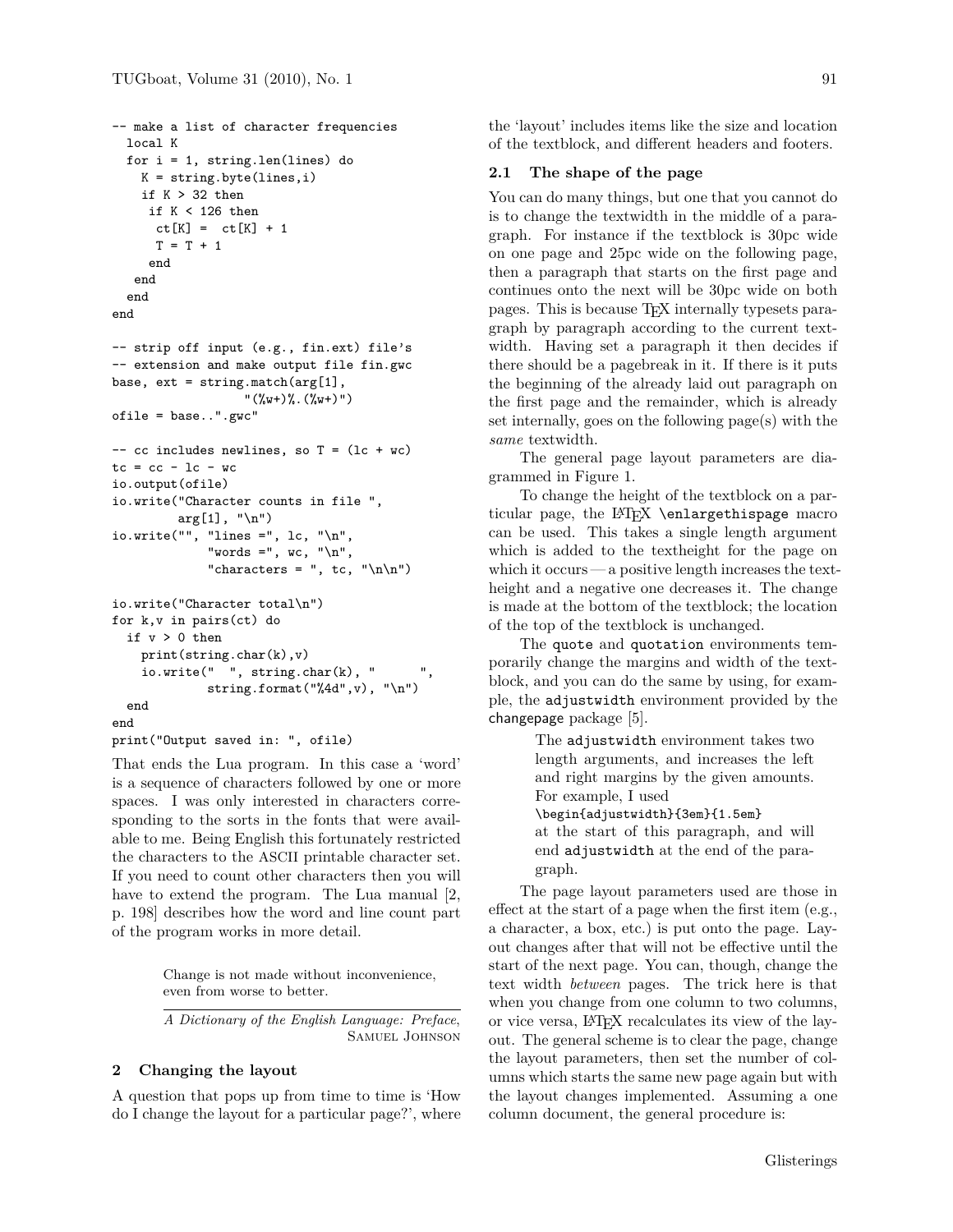```
-- make a list of character frequencies
  local K
  for i = 1, string.len(lines) do
    K = string.byte(lines,i)
    if K > 32 then
     if K < 126 then
      ct[K] = ct[K] + 1T = T + 1end
   end
  end
end
-- strip off input (e.g., fin.ext) file's
-- extension and make output file fin.gwc
base, ext = string.match(arg[1],
                   "({\cal V}_{w}+){\cal V}_{w}. ({\cal V}_{w}+){''})
ofile = base..".gwc"
-- cc includes newlines, so T = (lc + wc)
tc = cc - lc - wcio.output(ofile)
io.write("Character counts in file ",
         arg[1], "n")io.write("", "lines =", lc, "\n",
             "words =", wc, "\n",
             "characters = ", tc, "\ln\")
io.write("Character total\n")
for k,v in pairs(ct) do
  if v > 0 then
    print(string.char(k),v)
    io.write(" " , string(char(k), "string.format("%4d",v), "\n")
  end
end
print("Output saved in: ", ofile)
```
That ends the Lua program. In this case a 'word' is a sequence of characters followed by one or more spaces. I was only interested in characters corresponding to the sorts in the fonts that were available to me. Being English this fortunately restricted the characters to the ASCII printable character set. If you need to count other characters then you will have to extend the program. The Lua manual [2, p. 198] describes how the word and line count part of the program works in more detail.

> Change is not made without inconvenience, even from worse to better.

*A Dictionary of the English Language: Preface*, Samuel Johnson

# **2 Changing the layout**

A question that pops up from time to time is 'How do I change the layout for a particular page?', where the 'layout' includes items like the size and location of the textblock, and different headers and footers.

## **2.1 The shape of the page**

You can do many things, but one that you cannot do is to change the textwidth in the middle of a paragraph. For instance if the textblock is 30pc wide on one page and 25pc wide on the following page, then a paragraph that starts on the first page and continues onto the next will be 30pc wide on both pages. This is because TEX internally typesets paragraph by paragraph according to the current textwidth. Having set a paragraph it then decides if there should be a pagebreak in it. If there is it puts the beginning of the already laid out paragraph on the first page and the remainder, which is already set internally, goes on the following page(s) with the *same* textwidth.

The general page layout parameters are diagrammed in Figure 1.

To change the height of the textblock on a particular page, the LATEX \enlargethispage macro can be used. This takes a single length argument which is added to the textheight for the page on which it occurs — a positive length increases the textheight and a negative one decreases it. The change is made at the bottom of the textblock; the location of the top of the textblock is unchanged.

The quote and quotation environments temporarily change the margins and width of the textblock, and you can do the same by using, for example, the adjustwidth environment provided by the changepage package [5].

> The adjustwidth environment takes two length arguments, and increases the left and right margins by the given amounts. For example, I used \begin{adjustwidth}{3em}{1.5em} at the start of this paragraph, and will end adjustwidth at the end of the paragraph.

The page layout parameters used are those in effect at the start of a page when the first item (e.g., a character, a box, etc.) is put onto the page. Layout changes after that will not be effective until the start of the next page. You can, though, change the text width *between* pages. The trick here is that when you change from one column to two columns, or vice versa, LATEX recalculates its view of the layout. The general scheme is to clear the page, change the layout parameters, then set the number of columns which starts the same new page again but with the layout changes implemented. Assuming a one column document, the general procedure is: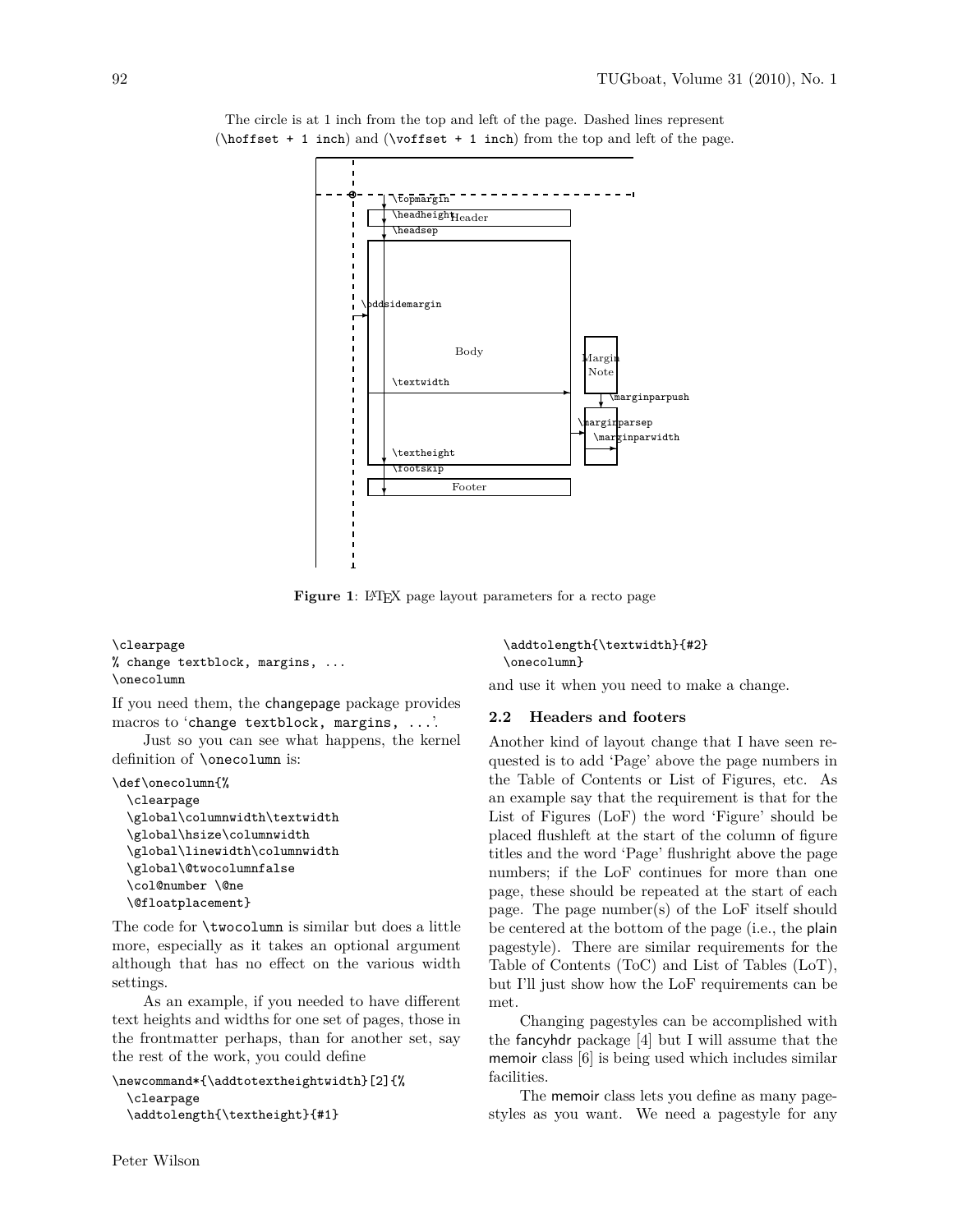

The circle is at 1 inch from the top and left of the page. Dashed lines represent (\hoffset + 1 inch) and (\voffset + 1 inch) from the top and left of the page.

Figure 1: L<sup>AT</sup>EX page layout parameters for a recto page

#### \clearpage % change textblock, margins, ... \onecolumn

If you need them, the changepage package provides macros to 'change textblock, margins, ...'.

Just so you can see what happens, the kernel definition of \onecolumn is:

```
\def\onecolumn{%
```

```
\clearpage
\global\columnwidth\textwidth
\global\hsize\columnwidth
\global\linewidth\columnwidth
\global\@twocolumnfalse
\col@number \@ne
\@floatplacement}
```
The code for \twocolumn is similar but does a little more, especially as it takes an optional argument although that has no effect on the various width settings.

As an example, if you needed to have different text heights and widths for one set of pages, those in the frontmatter perhaps, than for another set, say the rest of the work, you could define

```
\newcommand*{\addtotextheightwidth}[2]{%
  \clearpage
  \addtolength{\textheight}{#1}
```
Peter Wilson

\addtolength{\textwidth}{#2} \onecolumn}

and use it when you need to make a change.

### **2.2 Headers and footers**

Another kind of layout change that I have seen requested is to add 'Page' above the page numbers in the Table of Contents or List of Figures, etc. As an example say that the requirement is that for the List of Figures (LoF) the word 'Figure' should be placed flushleft at the start of the column of figure titles and the word 'Page' flushright above the page numbers; if the LoF continues for more than one page, these should be repeated at the start of each page. The page number(s) of the LoF itself should be centered at the bottom of the page (i.e., the plain pagestyle). There are similar requirements for the Table of Contents (ToC) and List of Tables (LoT), but I'll just show how the LoF requirements can be met.

Changing pagestyles can be accomplished with the fancyhdr package [4] but I will assume that the memoir class [6] is being used which includes similar facilities.

The memoir class lets you define as many pagestyles as you want. We need a pagestyle for any